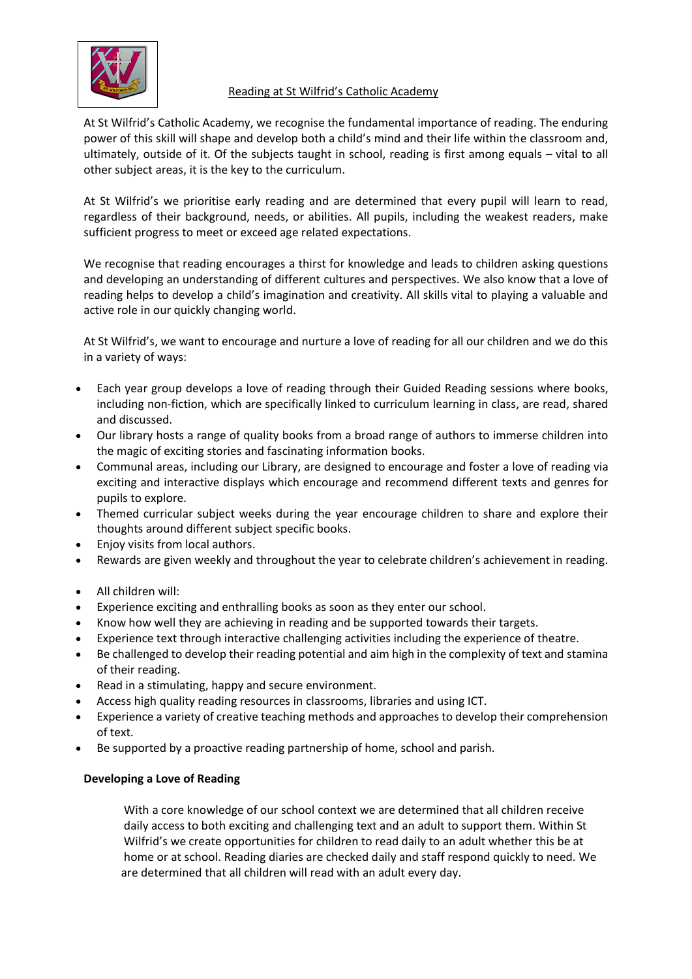

# Reading at St Wilfrid's Catholic Academy

At St Wilfrid's Catholic Academy, we recognise the fundamental importance of reading. The enduring power of this skill will shape and develop both a child's mind and their life within the classroom and, ultimately, outside of it. Of the subjects taught in school, reading is first among equals – vital to all other subject areas, it is the key to the curriculum.

At St Wilfrid's we prioritise early reading and are determined that every pupil will learn to read, regardless of their background, needs, or abilities. All pupils, including the weakest readers, make sufficient progress to meet or exceed age related expectations.

We recognise that reading encourages a thirst for knowledge and leads to children asking questions and developing an understanding of different cultures and perspectives. We also know that a love of reading helps to develop a child's imagination and creativity. All skills vital to playing a valuable and active role in our quickly changing world.

At St Wilfrid's, we want to encourage and nurture a love of reading for all our children and we do this in a variety of ways:

- Each year group develops a love of reading through their Guided Reading sessions where books, including non-fiction, which are specifically linked to curriculum learning in class, are read, shared and discussed.
- Our library hosts a range of quality books from a broad range of authors to immerse children into the magic of exciting stories and fascinating information books.
- Communal areas, including our Library, are designed to encourage and foster a love of reading via exciting and interactive displays which encourage and recommend different texts and genres for pupils to explore.
- Themed curricular subject weeks during the year encourage children to share and explore their thoughts around different subject specific books.
- Enjoy visits from local authors.
- Rewards are given weekly and throughout the year to celebrate children's achievement in reading.
- All children will:
- Experience exciting and enthralling books as soon as they enter our school.
- Know how well they are achieving in reading and be supported towards their targets.
- Experience text through interactive challenging activities including the experience of theatre.
- Be challenged to develop their reading potential and aim high in the complexity of text and stamina of their reading.
- Read in a stimulating, happy and secure environment.
- Access high quality reading resources in classrooms, libraries and using ICT.
- Experience a variety of creative teaching methods and approaches to develop their comprehension of text.
- Be supported by a proactive reading partnership of home, school and parish.

## **Developing a Love of Reading**

With a core knowledge of our school context we are determined that all children receive daily access to both exciting and challenging text and an adult to support them. Within St Wilfrid's we create opportunities for children to read daily to an adult whether this be at home or at school. Reading diaries are checked daily and staff respond quickly to need. We are determined that all children will read with an adult every day.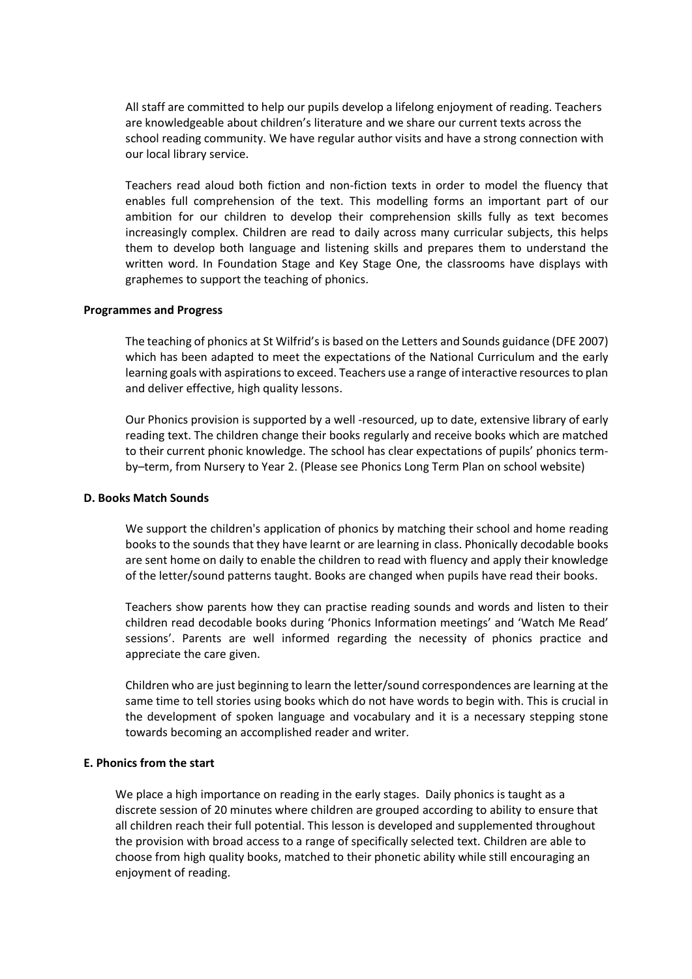All staff are committed to help our pupils develop a lifelong enjoyment of reading. Teachers are knowledgeable about children's literature and we share our current texts across the school reading community. We have regular author visits and have a strong connection with our local library service.

Teachers read aloud both fiction and non-fiction texts in order to model the fluency that enables full comprehension of the text. This modelling forms an important part of our ambition for our children to develop their comprehension skills fully as text becomes increasingly complex. Children are read to daily across many curricular subjects, this helps them to develop both language and listening skills and prepares them to understand the written word. In Foundation Stage and Key Stage One, the classrooms have displays with graphemes to support the teaching of phonics.

#### **Programmes and Progress**

The teaching of phonics at St Wilfrid's is based on the Letters and Sounds guidance (DFE 2007) which has been adapted to meet the expectations of the National Curriculum and the early learning goals with aspirations to exceed. Teachers use a range of interactive resources to plan and deliver effective, high quality lessons.

Our Phonics provision is supported by a well -resourced, up to date, extensive library of early reading text. The children change their books regularly and receive books which are matched to their current phonic knowledge. The school has clear expectations of pupils' phonics termby–term, from Nursery to Year 2. (Please see Phonics Long Term Plan on school website)

#### **D. Books Match Sounds**

We support the children's application of phonics by matching their school and home reading books to the sounds that they have learnt or are learning in class. Phonically decodable books are sent home on daily to enable the children to read with fluency and apply their knowledge of the letter/sound patterns taught. Books are changed when pupils have read their books.

Teachers show parents how they can practise reading sounds and words and listen to their children read decodable books during 'Phonics Information meetings' and 'Watch Me Read' sessions'. Parents are well informed regarding the necessity of phonics practice and appreciate the care given.

Children who are just beginning to learn the letter/sound correspondences are learning at the same time to tell stories using books which do not have words to begin with. This is crucial in the development of spoken language and vocabulary and it is a necessary stepping stone towards becoming an accomplished reader and writer.

#### **E. Phonics from the start**

 We place a high importance on reading in the early stages. Daily phonics is taught as a discrete session of 20 minutes where children are grouped according to ability to ensure that all children reach their full potential. This lesson is developed and supplemented throughout the provision with broad access to a range of specifically selected text. Children are able to choose from high quality books, matched to their phonetic ability while still encouraging an enjoyment of reading.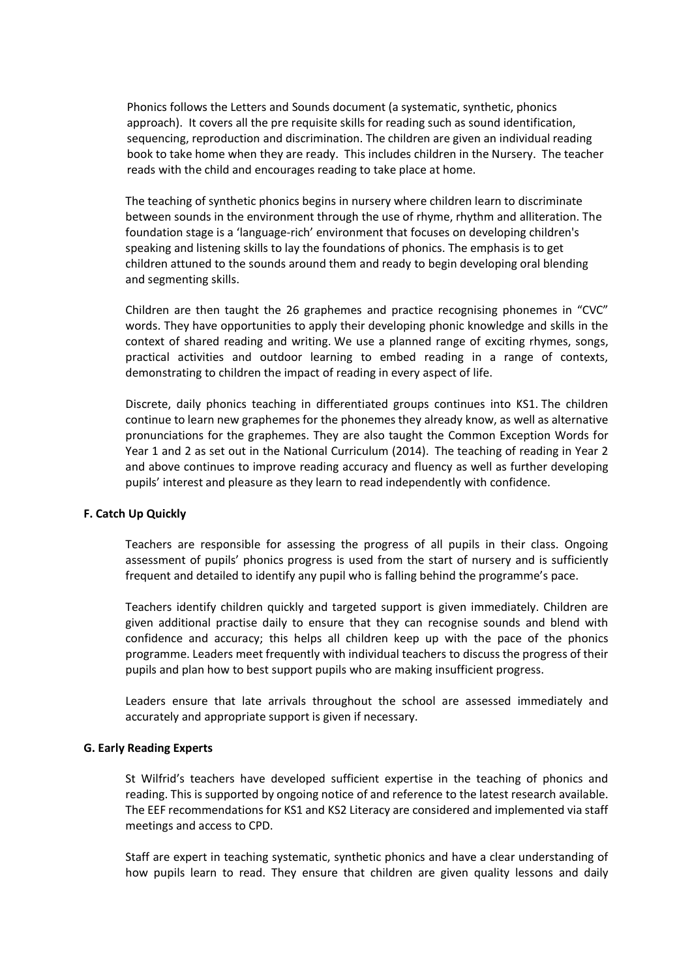Phonics follows the Letters and Sounds document (a systematic, synthetic, phonics approach). It covers all the pre requisite skills for reading such as sound identification, sequencing, reproduction and discrimination. The children are given an individual reading book to take home when they are ready. This includes children in the Nursery. The teacher reads with the child and encourages reading to take place at home.

The teaching of synthetic phonics begins in nursery where children learn to discriminate between sounds in the environment through the use of rhyme, rhythm and alliteration. The foundation stage is a 'language-rich' environment that focuses on developing children's speaking and listening skills to lay the foundations of phonics. The emphasis is to get children attuned to the sounds around them and ready to begin developing oral blending and segmenting skills.

Children are then taught the 26 graphemes and practice recognising phonemes in "CVC" words. They have opportunities to apply their developing phonic knowledge and skills in the context of shared reading and writing. We use a planned range of exciting rhymes, songs, practical activities and outdoor learning to embed reading in a range of contexts, demonstrating to children the impact of reading in every aspect of life.

Discrete, daily phonics teaching in differentiated groups continues into KS1. The children continue to learn new graphemes for the phonemes they already know, as well as alternative pronunciations for the graphemes. They are also taught the Common Exception Words for Year 1 and 2 as set out in the National Curriculum (2014). The teaching of reading in Year 2 and above continues to improve reading accuracy and fluency as well as further developing pupils' interest and pleasure as they learn to read independently with confidence.

### **F. Catch Up Quickly**

Teachers are responsible for assessing the progress of all pupils in their class. Ongoing assessment of pupils' phonics progress is used from the start of nursery and is sufficiently frequent and detailed to identify any pupil who is falling behind the programme's pace.

Teachers identify children quickly and targeted support is given immediately. Children are given additional practise daily to ensure that they can recognise sounds and blend with confidence and accuracy; this helps all children keep up with the pace of the phonics programme. Leaders meet frequently with individual teachers to discuss the progress of their pupils and plan how to best support pupils who are making insufficient progress.

Leaders ensure that late arrivals throughout the school are assessed immediately and accurately and appropriate support is given if necessary.

#### **G. Early Reading Experts**

St Wilfrid's teachers have developed sufficient expertise in the teaching of phonics and reading. This is supported by ongoing notice of and reference to the latest research available. The EEF recommendations for KS1 and KS2 Literacy are considered and implemented via staff meetings and access to CPD.

Staff are expert in teaching systematic, synthetic phonics and have a clear understanding of how pupils learn to read. They ensure that children are given quality lessons and daily